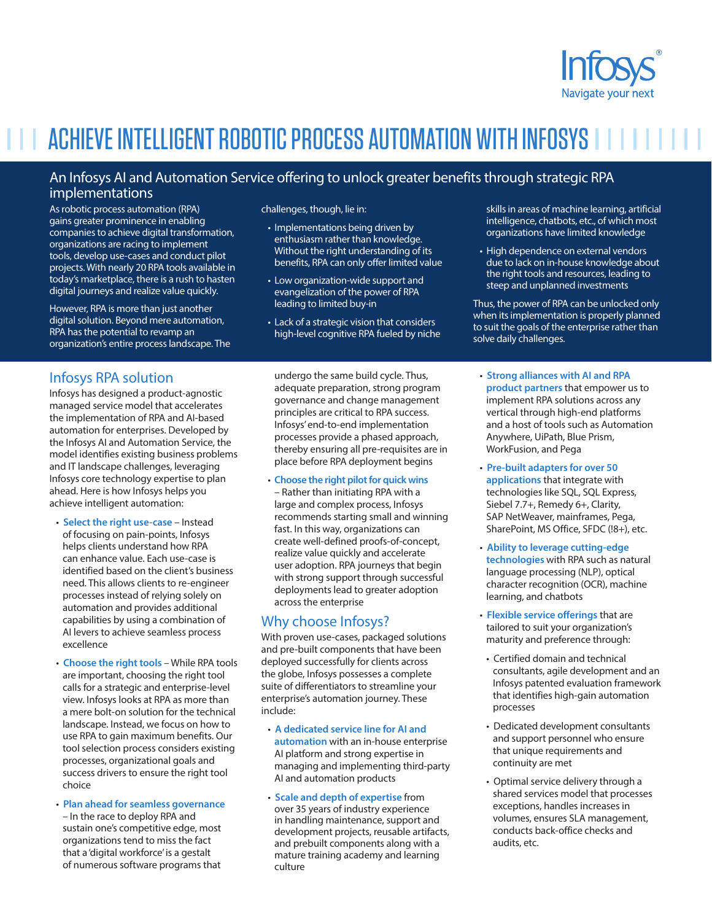

# **ACHIEVE INTELLIGENT ROBOTIC PROCESS AUTOMATION WITH INFOSYS I I I I I I**

## An Infosys AI and Automation Service offering to unlock greater benefits through strategic RPA implementations

As robotic process automation (RPA) gains greater prominence in enabling companies to achieve digital transformation, organizations are racing to implement tools, develop use-cases and conduct pilot projects. With nearly 20 RPA tools available in today's marketplace, there is a rush to hasten digital journeys and realize value quickly.

However, RPA is more than just another digital solution. Beyond mere automation, RPA has the potential to revamp an organization's entire process landscape. The

## Infosys RPA solution

Infosys has designed a product-agnostic managed service model that accelerates the implementation of RPA and AI-based automation for enterprises. Developed by the Infosys AI and Automation Service, the model identifies existing business problems and IT landscape challenges, leveraging Infosys core technology expertise to plan ahead. Here is how Infosys helps you achieve intelligent automation:

- **Select the right use-case**  Instead of focusing on pain-points, Infosys helps clients understand how RPA can enhance value. Each use-case is identified based on the client's business need. This allows clients to re-engineer processes instead of relying solely on automation and provides additional capabilities by using a combination of AI levers to achieve seamless process excellence
- **Choose the right tools** While RPA tools are important, choosing the right tool calls for a strategic and enterprise-level view. Infosys looks at RPA as more than a mere bolt-on solution for the technical landscape. Instead, we focus on how to use RPA to gain maximum benefits. Our tool selection process considers existing processes, organizational goals and success drivers to ensure the right tool choice
- **Plan ahead for seamless governance**  – In the race to deploy RPA and sustain one's competitive edge, most organizations tend to miss the fact that a 'digital workforce' is a gestalt of numerous software programs that

challenges, though, lie in:

- Implementations being driven by enthusiasm rather than knowledge. Without the right understanding of its benefits, RPA can only offer limited value
- Low organization-wide support and evangelization of the power of RPA leading to limited buy-in
- Lack of a strategic vision that considers high-level cognitive RPA fueled by niche

undergo the same build cycle. Thus, adequate preparation, strong program governance and change management principles are critical to RPA success. Infosys' end-to-end implementation processes provide a phased approach, thereby ensuring all pre-requisites are in place before RPA deployment begins

#### • **Choose the right pilot for quick wins**

– Rather than initiating RPA with a large and complex process, Infosys recommends starting small and winning fast. In this way, organizations can create well-defined proofs-of-concept, realize value quickly and accelerate user adoption. RPA journeys that begin with strong support through successful deployments lead to greater adoption across the enterprise

## Why choose Infosys?

With proven use-cases, packaged solutions and pre-built components that have been deployed successfully for clients across the globe, Infosys possesses a complete suite of differentiators to streamline your enterprise's automation journey. These include:

- **A dedicated service line for AI and automation** with an in-house enterprise AI platform and strong expertise in managing and implementing third-party AI and automation products
- **Scale and depth of expertise** from over 35 years of industry experience in handling maintenance, support and development projects, reusable artifacts, and prebuilt components along with a mature training academy and learning culture

skills in areas of machine learning, artificial intelligence, chatbots, etc., of which most organizations have limited knowledge

• High dependence on external vendors due to lack on in-house knowledge about the right tools and resources, leading to steep and unplanned investments

Thus, the power of RPA can be unlocked only when its implementation is properly planned to suit the goals of the enterprise rather than solve daily challenges.

- **Strong alliances with AI and RPA product partners** that empower us to implement RPA solutions across any vertical through high-end platforms and a host of tools such as Automation Anywhere, UiPath, Blue Prism, WorkFusion, and Pega
- **Pre-built adapters for over 50 applications** that integrate with technologies like SQL, SQL Express, Siebel 7.7+, Remedy 6+, Clarity, SAP NetWeaver, mainframes, Pega, SharePoint, MS Office, SFDC (!8+), etc.
- **Ability to leverage cutting-edge technologies** with RPA such as natural language processing (NLP), optical character recognition (OCR), machine learning, and chatbots
- **Flexible service offerings** that are tailored to suit your organization's maturity and preference through:
- Certified domain and technical consultants, agile development and an Infosys patented evaluation framework that identifies high-gain automation processes
- Dedicated development consultants and support personnel who ensure that unique requirements and continuity are met
- Optimal service delivery through a shared services model that processes exceptions, handles increases in volumes, ensures SLA management, conducts back-office checks and audits, etc.